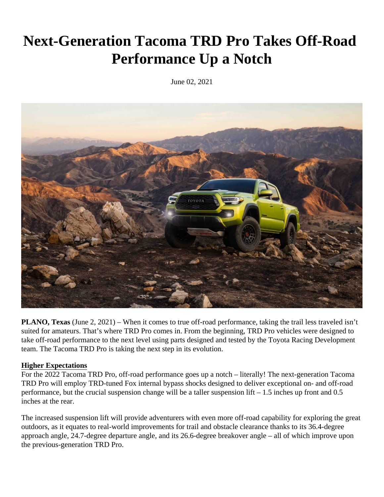# **Next-Generation Tacoma TRD Pro Takes Off-Road Performance Up a Notch**

June 02, 2021



**PLANO, Texas** (June 2, 2021) – When it comes to true off-road performance, taking the trail less traveled isn't suited for amateurs. That's where TRD Pro comes in. From the beginning, TRD Pro vehicles were designed to take off-road performance to the next level using parts designed and tested by the Toyota Racing Development team. The Tacoma TRD Pro is taking the next step in its evolution.

# **Higher Expectations**

For the 2022 Tacoma TRD Pro, off-road performance goes up a notch – literally! The next-generation Tacoma TRD Pro will employ TRD-tuned Fox internal bypass shocks designed to deliver exceptional on- and off-road performance, but the crucial suspension change will be a taller suspension lift – 1.5 inches up front and 0.5 inches at the rear.

The increased suspension lift will provide adventurers with even more off-road capability for exploring the great outdoors, as it equates to real-world improvements for trail and obstacle clearance thanks to its 36.4-degree approach angle, 24.7-degree departure angle, and its 26.6-degree breakover angle – all of which improve upon the previous-generation TRD Pro.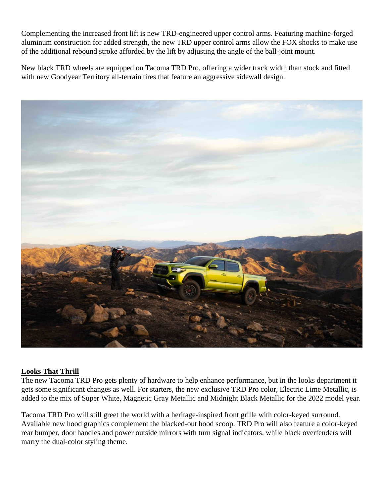Complementing the increased front lift is new TRD-engineered upper control arms. Featuring machine-forged aluminum construction for added strength, the new TRD upper control arms allow the FOX shocks to make use of the additional rebound stroke afforded by the lift by adjusting the angle of the ball-joint mount.

New black TRD wheels are equipped on Tacoma TRD Pro, offering a wider track width than stock and fitted with new Goodyear Territory all-terrain tires that feature an aggressive sidewall design.



# **Looks That Thrill**

The new Tacoma TRD Pro gets plenty of hardware to help enhance performance, but in the looks department it gets some significant changes as well. For starters, the new exclusive TRD Pro color, Electric Lime Metallic, is added to the mix of Super White, Magnetic Gray Metallic and Midnight Black Metallic for the 2022 model year.

Tacoma TRD Pro will still greet the world with a heritage-inspired front grille with color-keyed surround. Available new hood graphics complement the blacked-out hood scoop. TRD Pro will also feature a color-keyed rear bumper, door handles and power outside mirrors with turn signal indicators, while black overfenders will marry the dual-color styling theme.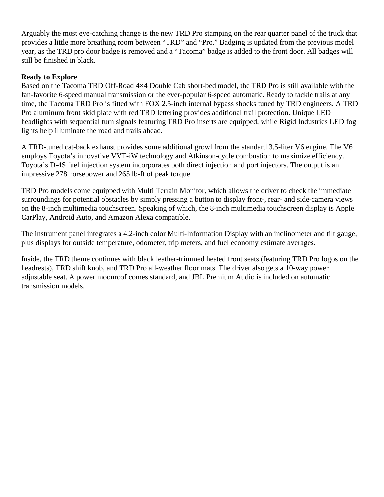Arguably the most eye-catching change is the new TRD Pro stamping on the rear quarter panel of the truck that provides a little more breathing room between "TRD" and "Pro." Badging is updated from the previous model year, as the TRD pro door badge is removed and a "Tacoma" badge is added to the front door. All badges will still be finished in black.

# **Ready to Explore**

Based on the Tacoma TRD Off-Road 4×4 Double Cab short-bed model, the TRD Pro is still available with the fan-favorite 6-speed manual transmission or the ever-popular 6-speed automatic. Ready to tackle trails at any time, the Tacoma TRD Pro is fitted with FOX 2.5-inch internal bypass shocks tuned by TRD engineers. A TRD Pro aluminum front skid plate with red TRD lettering provides additional trail protection. Unique LED headlights with sequential turn signals featuring TRD Pro inserts are equipped, while Rigid Industries LED fog lights help illuminate the road and trails ahead.

A TRD-tuned cat-back exhaust provides some additional growl from the standard 3.5-liter V6 engine. The V6 employs Toyota's innovative VVT-iW technology and Atkinson-cycle combustion to maximize efficiency. Toyota's D-4S fuel injection system incorporates both direct injection and port injectors. The output is an impressive 278 horsepower and 265 lb-ft of peak torque.

TRD Pro models come equipped with Multi Terrain Monitor, which allows the driver to check the immediate surroundings for potential obstacles by simply pressing a button to display front-, rear- and side-camera views on the 8-inch multimedia touchscreen. Speaking of which, the 8-inch multimedia touchscreen display is Apple CarPlay, Android Auto, and Amazon Alexa compatible.

The instrument panel integrates a 4.2-inch color Multi-Information Display with an inclinometer and tilt gauge, plus displays for outside temperature, odometer, trip meters, and fuel economy estimate averages.

Inside, the TRD theme continues with black leather-trimmed heated front seats (featuring TRD Pro logos on the headrests), TRD shift knob, and TRD Pro all-weather floor mats. The driver also gets a 10-way power adjustable seat. A power moonroof comes standard, and JBL Premium Audio is included on automatic transmission models.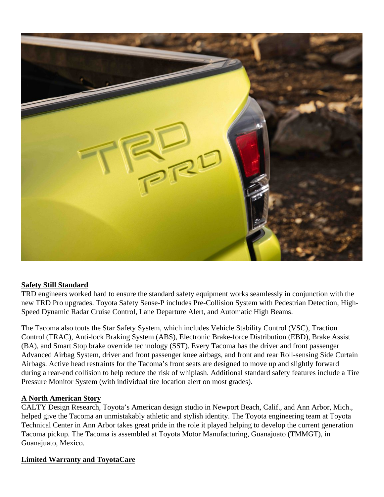

# **Safety Still Standard**

TRD engineers worked hard to ensure the standard safety equipment works seamlessly in conjunction with the new TRD Pro upgrades. Toyota Safety Sense-P includes Pre-Collision System with Pedestrian Detection, High-Speed Dynamic Radar Cruise Control, Lane Departure Alert, and Automatic High Beams.

The Tacoma also touts the Star Safety System, which includes Vehicle Stability Control (VSC), Traction Control (TRAC), Anti-lock Braking System (ABS), Electronic Brake-force Distribution (EBD), Brake Assist (BA), and Smart Stop brake override technology (SST). Every Tacoma has the driver and front passenger Advanced Airbag System, driver and front passenger knee airbags, and front and rear Roll-sensing Side Curtain Airbags. Active head restraints for the Tacoma's front seats are designed to move up and slightly forward during a rear-end collision to help reduce the risk of whiplash. Additional standard safety features include a Tire Pressure Monitor System (with individual tire location alert on most grades).

# **A North American Story**

CALTY Design Research, Toyota's American design studio in Newport Beach, Calif., and Ann Arbor, Mich., helped give the Tacoma an unmistakably athletic and stylish identity. The Toyota engineering team at Toyota Technical Center in Ann Arbor takes great pride in the role it played helping to develop the current generation Tacoma pickup. The Tacoma is assembled at Toyota Motor Manufacturing, Guanajuato (TMMGT), in Guanajuato, Mexico.

# **Limited Warranty and ToyotaCare**